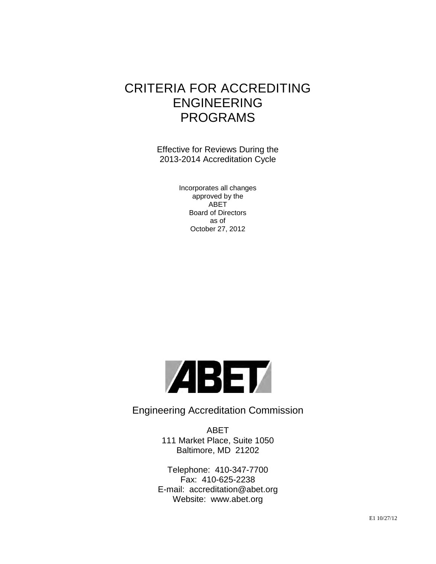# CRITERIA FOR ACCREDITING ENGINEERING PROGRAMS

Effective for Reviews During the 2013-2014 Accreditation Cycle

> Incorporates all changes approved by the ABET Board of Directors as of October 27, 2012



Engineering Accreditation Commission

ABET 111 Market Place, Suite 1050 Baltimore, MD 21202

Telephone: 410-347-7700 Fax: 410-625-2238 E-mail: accreditation@abet.org Website: www.abet.org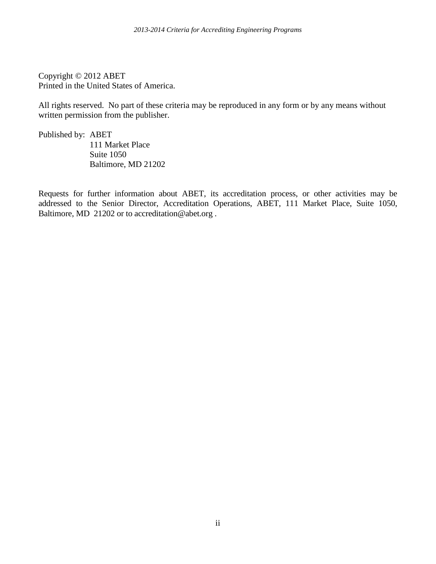Copyright © 2012 ABET Printed in the United States of America.

All rights reserved. No part of these criteria may be reproduced in any form or by any means without written permission from the publisher.

Published by: ABET 111 Market Place Suite 1050 Baltimore, MD 21202

Requests for further information about ABET, its accreditation process, or other activities may be addressed to the Senior Director, Accreditation Operations, ABET, 111 Market Place, Suite 1050, Baltimore, MD 21202 or to accreditation@abet.org .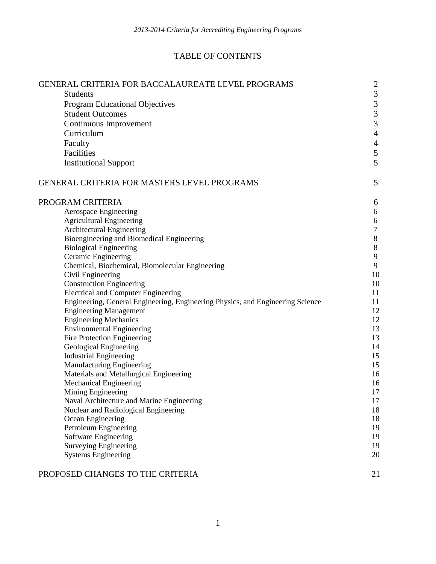# TABLE OF CONTENTS

| GENERAL CRITERIA FOR BACCALAUREATE LEVEL PROGRAMS                              | $\overline{c}$                             |
|--------------------------------------------------------------------------------|--------------------------------------------|
| <b>Students</b>                                                                | $\mathfrak{Z}$                             |
| <b>Program Educational Objectives</b>                                          |                                            |
| <b>Student Outcomes</b>                                                        |                                            |
| Continuous Improvement                                                         | $\begin{array}{c} 3 \\ 3 \\ 3 \end{array}$ |
| Curriculum                                                                     | $\overline{4}$                             |
| Faculty                                                                        | $\overline{4}$                             |
| Facilities                                                                     |                                            |
|                                                                                | 5<br>5                                     |
| <b>Institutional Support</b>                                                   |                                            |
| GENERAL CRITERIA FOR MASTERS LEVEL PROGRAMS                                    | 5                                          |
| PROGRAM CRITERIA                                                               | 6                                          |
| Aerospace Engineering                                                          | 6                                          |
| <b>Agricultural Engineering</b>                                                | $\sqrt{6}$                                 |
| Architectural Engineering                                                      | $\boldsymbol{7}$                           |
| Bioengineering and Biomedical Engineering                                      | $\begin{array}{c} 8 \\ 8 \end{array}$      |
| <b>Biological Engineering</b>                                                  |                                            |
| Ceramic Engineering                                                            | $\mathbf{9}$                               |
| Chemical, Biochemical, Biomolecular Engineering                                | 9                                          |
| Civil Engineering                                                              | 10                                         |
| <b>Construction Engineering</b>                                                | 10                                         |
| <b>Electrical and Computer Engineering</b>                                     | 11                                         |
| Engineering, General Engineering, Engineering Physics, and Engineering Science | 11                                         |
| <b>Engineering Management</b>                                                  | 12                                         |
| <b>Engineering Mechanics</b>                                                   | 12                                         |
| <b>Environmental Engineering</b>                                               | 13                                         |
| Fire Protection Engineering                                                    | 13                                         |
| Geological Engineering                                                         | 14                                         |
| <b>Industrial Engineering</b>                                                  | 15                                         |
| <b>Manufacturing Engineering</b>                                               | 15                                         |
| Materials and Metallurgical Engineering                                        | 16                                         |
| <b>Mechanical Engineering</b>                                                  | 16                                         |
| Mining Engineering                                                             | 17                                         |
| Naval Architecture and Marine Engineering                                      | 17                                         |
| Nuclear and Radiological Engineering                                           | 18                                         |
| Ocean Engineering                                                              | 18                                         |
| Petroleum Engineering                                                          | 19                                         |
| Software Engineering                                                           | 19                                         |
| <b>Surveying Engineering</b>                                                   | 19                                         |
| <b>Systems Engineering</b>                                                     | 20                                         |
| PROPOSED CHANGES TO THE CRITERIA                                               | 21                                         |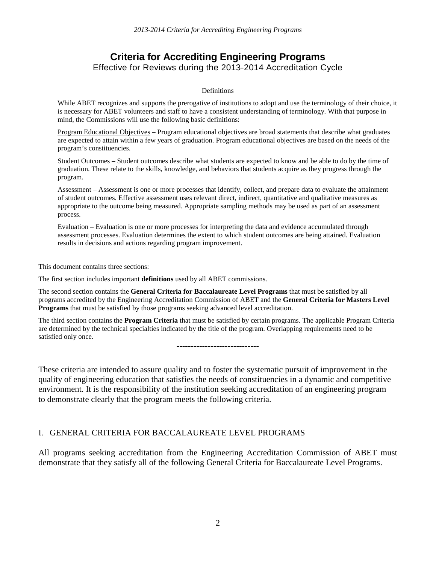# **Criteria for Accrediting Engineering Programs**

#### Effective for Reviews during the 2013-2014 Accreditation Cycle

#### Definitions

While ABET recognizes and supports the prerogative of institutions to adopt and use the terminology of their choice, it is necessary for ABET volunteers and staff to have a consistent understanding of terminology. With that purpose in mind, the Commissions will use the following basic definitions:

Program Educational Objectives – Program educational objectives are broad statements that describe what graduates are expected to attain within a few years of graduation. Program educational objectives are based on the needs of the program's constituencies.

Student Outcomes – Student outcomes describe what students are expected to know and be able to do by the time of graduation. These relate to the skills, knowledge, and behaviors that students acquire as they progress through the program.

Assessment – Assessment is one or more processes that identify, collect, and prepare data to evaluate the attainment of student outcomes. Effective assessment uses relevant direct, indirect, quantitative and qualitative measures as appropriate to the outcome being measured. Appropriate sampling methods may be used as part of an assessment process.

Evaluation – Evaluation is one or more processes for interpreting the data and evidence accumulated through assessment processes. Evaluation determines the extent to which student outcomes are being attained. Evaluation results in decisions and actions regarding program improvement.

This document contains three sections:

The first section includes important **definitions** used by all ABET commissions.

The second section contains the **General Criteria for Baccalaureate Level Programs** that must be satisfied by all programs accredited by the Engineering Accreditation Commission of ABET and the **General Criteria for Masters Level Programs** that must be satisfied by those programs seeking advanced level accreditation.

The third section contains the **Program Criteria** that must be satisfied by certain programs. The applicable Program Criteria are determined by the technical specialties indicated by the title of the program. Overlapping requirements need to be satisfied only once.

-----------------------------

These criteria are intended to assure quality and to foster the systematic pursuit of improvement in the quality of engineering education that satisfies the needs of constituencies in a dynamic and competitive environment. It is the responsibility of the institution seeking accreditation of an engineering program to demonstrate clearly that the program meets the following criteria.

#### I. GENERAL CRITERIA FOR BACCALAUREATE LEVEL PROGRAMS

All programs seeking accreditation from the Engineering Accreditation Commission of ABET must demonstrate that they satisfy all of the following General Criteria for Baccalaureate Level Programs.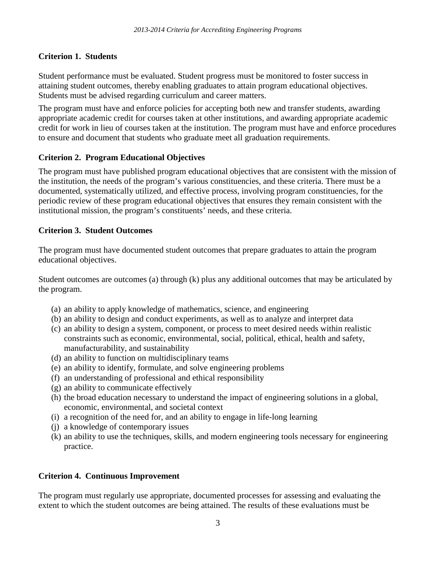# **Criterion 1. Students**

Student performance must be evaluated. Student progress must be monitored to foster success in attaining student outcomes, thereby enabling graduates to attain program educational objectives. Students must be advised regarding curriculum and career matters.

The program must have and enforce policies for accepting both new and transfer students, awarding appropriate academic credit for courses taken at other institutions, and awarding appropriate academic credit for work in lieu of courses taken at the institution. The program must have and enforce procedures to ensure and document that students who graduate meet all graduation requirements.

## **Criterion 2. Program Educational Objectives**

The program must have published program educational objectives that are consistent with the mission of the institution, the needs of the program's various constituencies, and these criteria. There must be a documented, systematically utilized, and effective process, involving program constituencies, for the periodic review of these program educational objectives that ensures they remain consistent with the institutional mission, the program's constituents' needs, and these criteria.

#### **Criterion 3. Student Outcomes**

The program must have documented student outcomes that prepare graduates to attain the program educational objectives.

Student outcomes are outcomes (a) through (k) plus any additional outcomes that may be articulated by the program.

- (a) an ability to apply knowledge of mathematics, science, and engineering
- (b) an ability to design and conduct experiments, as well as to analyze and interpret data
- (c) an ability to design a system, component, or process to meet desired needs within realistic constraints such as economic, environmental, social, political, ethical, health and safety, manufacturability, and sustainability
- (d) an ability to function on multidisciplinary teams
- (e) an ability to identify, formulate, and solve engineering problems
- (f) an understanding of professional and ethical responsibility
- (g) an ability to communicate effectively
- (h) the broad education necessary to understand the impact of engineering solutions in a global, economic, environmental, and societal context
- (i) a recognition of the need for, and an ability to engage in life-long learning
- (j) a knowledge of contemporary issues
- (k) an ability to use the techniques, skills, and modern engineering tools necessary for engineering practice.

#### **Criterion 4. Continuous Improvement**

The program must regularly use appropriate, documented processes for assessing and evaluating the extent to which the student outcomes are being attained. The results of these evaluations must be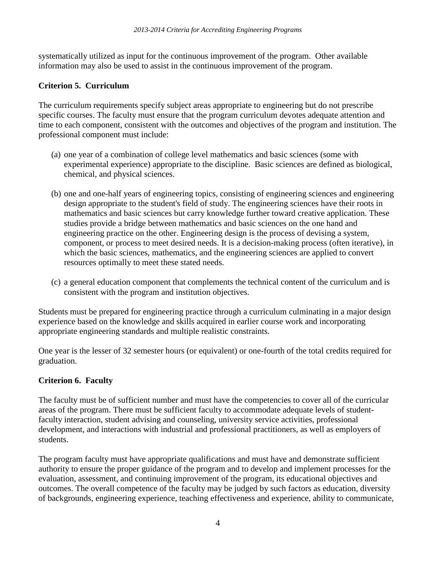systematically utilized as input for the continuous improvement of the program. Other available information may also be used to assist in the continuous improvement of the program.

# **Criterion 5. Curriculum**

The curriculum requirements specify subject areas appropriate to engineering but do not prescribe specific courses. The faculty must ensure that the program curriculum devotes adequate attention and time to each component, consistent with the outcomes and objectives of the program and institution. The professional component must include:

- (a) one year of a combination of college level mathematics and basic sciences (some with experimental experience) appropriate to the discipline. Basic sciences are defined as biological, chemical, and physical sciences.
- (b) one and one-half years of engineering topics, consisting of engineering sciences and engineering design appropriate to the student's field of study. The engineering sciences have their roots in mathematics and basic sciences but carry knowledge further toward creative application. These studies provide a bridge between mathematics and basic sciences on the one hand and engineering practice on the other. Engineering design is the process of devising a system, component, or process to meet desired needs. It is a decision-making process (often iterative), in which the basic sciences, mathematics, and the engineering sciences are applied to convert resources optimally to meet these stated needs.
- (c) a general education component that complements the technical content of the curriculum and is consistent with the program and institution objectives.

Students must be prepared for engineering practice through a curriculum culminating in a major design experience based on the knowledge and skills acquired in earlier course work and incorporating appropriate engineering standards and multiple realistic constraints.

One year is the lesser of 32 semester hours (or equivalent) or one-fourth of the total credits required for graduation.

# **Criterion 6. Faculty**

The faculty must be of sufficient number and must have the competencies to cover all of the curricular areas of the program. There must be sufficient faculty to accommodate adequate levels of studentfaculty interaction, student advising and counseling, university service activities, professional development, and interactions with industrial and professional practitioners, as well as employers of students.

The program faculty must have appropriate qualifications and must have and demonstrate sufficient authority to ensure the proper guidance of the program and to develop and implement processes for the evaluation, assessment, and continuing improvement of the program, its educational objectives and outcomes. The overall competence of the faculty may be judged by such factors as education, diversity of backgrounds, engineering experience, teaching effectiveness and experience, ability to communicate,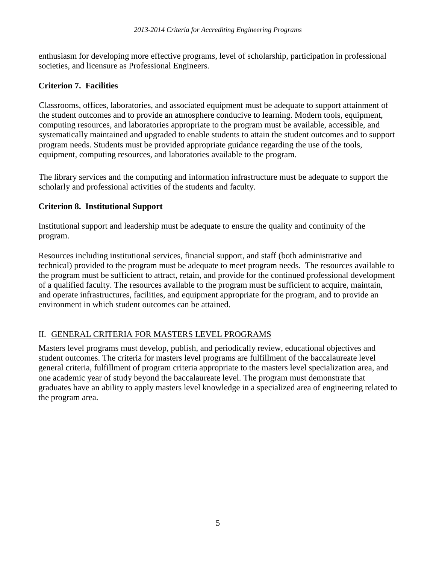enthusiasm for developing more effective programs, level of scholarship, participation in professional societies, and licensure as Professional Engineers.

# **Criterion 7. Facilities**

Classrooms, offices, laboratories, and associated equipment must be adequate to support attainment of the student outcomes and to provide an atmosphere conducive to learning. Modern tools, equipment, computing resources, and laboratories appropriate to the program must be available, accessible, and systematically maintained and upgraded to enable students to attain the student outcomes and to support program needs. Students must be provided appropriate guidance regarding the use of the tools, equipment, computing resources, and laboratories available to the program.

The library services and the computing and information infrastructure must be adequate to support the scholarly and professional activities of the students and faculty.

# **Criterion 8. Institutional Support**

Institutional support and leadership must be adequate to ensure the quality and continuity of the program.

Resources including institutional services, financial support, and staff (both administrative and technical) provided to the program must be adequate to meet program needs. The resources available to the program must be sufficient to attract, retain, and provide for the continued professional development of a qualified faculty. The resources available to the program must be sufficient to acquire, maintain, and operate infrastructures, facilities, and equipment appropriate for the program, and to provide an environment in which student outcomes can be attained.

# II. GENERAL CRITERIA FOR MASTERS LEVEL PROGRAMS

Masters level programs must develop, publish, and periodically review, educational objectives and student outcomes. The criteria for masters level programs are fulfillment of the baccalaureate level general criteria, fulfillment of program criteria appropriate to the masters level specialization area, and one academic year of study beyond the baccalaureate level. The program must demonstrate that graduates have an ability to apply masters level knowledge in a specialized area of engineering related to the program area.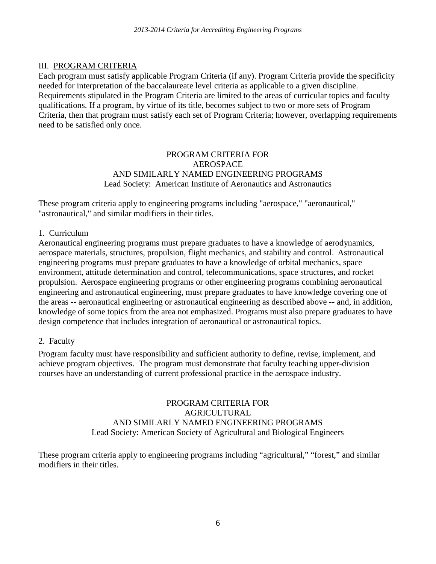## III. PROGRAM CRITERIA

Each program must satisfy applicable Program Criteria (if any). Program Criteria provide the specificity needed for interpretation of the baccalaureate level criteria as applicable to a given discipline. Requirements stipulated in the Program Criteria are limited to the areas of curricular topics and faculty qualifications. If a program, by virtue of its title, becomes subject to two or more sets of Program Criteria, then that program must satisfy each set of Program Criteria; however, overlapping requirements need to be satisfied only once.

#### PROGRAM CRITERIA FOR AEROSPACE AND SIMILARLY NAMED ENGINEERING PROGRAMS Lead Society: American Institute of Aeronautics and Astronautics

These program criteria apply to engineering programs including "aerospace," "aeronautical," "astronautical," and similar modifiers in their titles.

## 1. Curriculum

Aeronautical engineering programs must prepare graduates to have a knowledge of aerodynamics, aerospace materials, structures, propulsion, flight mechanics, and stability and control. Astronautical engineering programs must prepare graduates to have a knowledge of orbital mechanics, space environment, attitude determination and control, telecommunications, space structures, and rocket propulsion. Aerospace engineering programs or other engineering programs combining aeronautical engineering and astronautical engineering, must prepare graduates to have knowledge covering one of the areas -- aeronautical engineering or astronautical engineering as described above -- and, in addition, knowledge of some topics from the area not emphasized. Programs must also prepare graduates to have design competence that includes integration of aeronautical or astronautical topics.

## 2. Faculty

Program faculty must have responsibility and sufficient authority to define, revise, implement, and achieve program objectives. The program must demonstrate that faculty teaching upper-division courses have an understanding of current professional practice in the aerospace industry.

#### PROGRAM CRITERIA FOR AGRICULTURAL AND SIMILARLY NAMED ENGINEERING PROGRAMS Lead Society: American Society of Agricultural and Biological Engineers

These program criteria apply to engineering programs including "agricultural," "forest," and similar modifiers in their titles.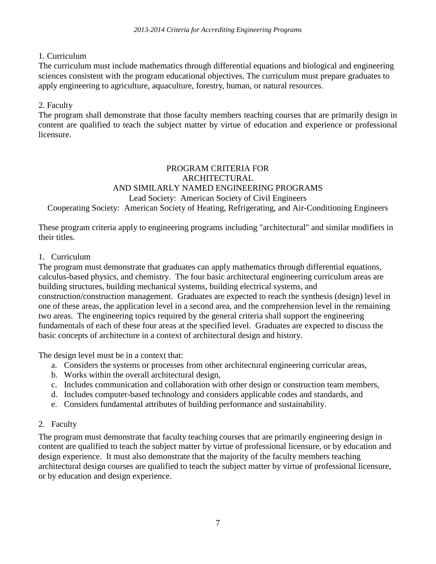## 1. Curriculum

The curriculum must include mathematics through differential equations and biological and engineering sciences consistent with the program educational objectives. The curriculum must prepare graduates to apply engineering to agriculture, aquaculture, forestry, human, or natural resources.

# 2. Faculty

The program shall demonstrate that those faculty members teaching courses that are primarily design in content are qualified to teach the subject matter by virtue of education and experience or professional licensure.

#### PROGRAM CRITERIA FOR ARCHITECTURAL AND SIMILARLY NAMED ENGINEERING PROGRAMS Lead Society: American Society of Civil Engineers Cooperating Society: American Society of Heating, Refrigerating, and Air-Conditioning Engineers

These program criteria apply to engineering programs including "architectural" and similar modifiers in their titles.

## 1. Curriculum

The program must demonstrate that graduates can apply mathematics through differential equations, calculus-based physics, and chemistry. The four basic architectural engineering curriculum areas are building structures, building mechanical systems, building electrical systems, and construction/construction management. Graduates are expected to reach the synthesis (design) level in one of these areas, the application level in a second area, and the comprehension level in the remaining two areas. The engineering topics required by the general criteria shall support the engineering fundamentals of each of these four areas at the specified level. Graduates are expected to discuss the basic concepts of architecture in a context of architectural design and history.

The design level must be in a context that:

- a. Considers the systems or processes from other architectural engineering curricular areas,
- b. Works within the overall architectural design,
- c. Includes communication and collaboration with other design or construction team members,
- d. Includes computer-based technology and considers applicable codes and standards, and
- e. Considers fundamental attributes of building performance and sustainability.

## 2. Faculty

The program must demonstrate that faculty teaching courses that are primarily engineering design in content are qualified to teach the subject matter by virtue of professional licensure, or by education and design experience. It must also demonstrate that the majority of the faculty members teaching architectural design courses are qualified to teach the subject matter by virtue of professional licensure, or by education and design experience.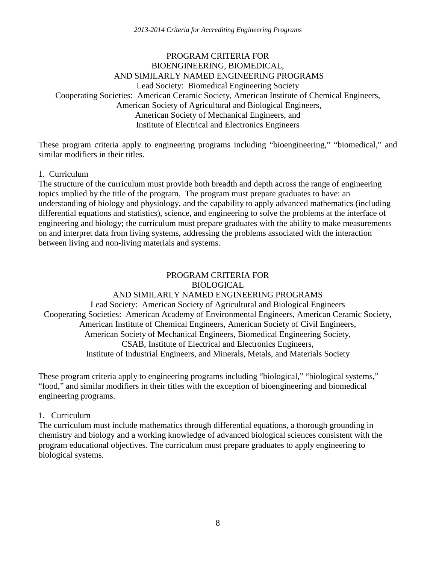#### PROGRAM CRITERIA FOR BIOENGINEERING, BIOMEDICAL, AND SIMILARLY NAMED ENGINEERING PROGRAMS Lead Society: Biomedical Engineering Society Cooperating Societies: American Ceramic Society, American Institute of Chemical Engineers, American Society of Agricultural and Biological Engineers, American Society of Mechanical Engineers, and Institute of Electrical and Electronics Engineers

These program criteria apply to engineering programs including "bioengineering," "biomedical," and similar modifiers in their titles.

#### 1. Curriculum

The structure of the curriculum must provide both breadth and depth across the range of engineering topics implied by the title of the program. The program must prepare graduates to have: an understanding of biology and physiology, and the capability to apply advanced mathematics (including differential equations and statistics), science, and engineering to solve the problems at the interface of engineering and biology; the curriculum must prepare graduates with the ability to make measurements on and interpret data from living systems, addressing the problems associated with the interaction between living and non-living materials and systems.

# PROGRAM CRITERIA FOR BIOLOGICAL AND SIMILARLY NAMED ENGINEERING PROGRAMS Lead Society: American Society of Agricultural and Biological Engineers Cooperating Societies: American Academy of Environmental Engineers, American Ceramic Society, American Institute of Chemical Engineers, American Society of Civil Engineers, American Society of Mechanical Engineers, Biomedical Engineering Society, CSAB, Institute of Electrical and Electronics Engineers, Institute of Industrial Engineers, and Minerals, Metals, and Materials Society

These program criteria apply to engineering programs including "biological," "biological systems," "food," and similar modifiers in their titles with the exception of bioengineering and biomedical engineering programs.

#### 1. Curriculum

The curriculum must include mathematics through differential equations, a thorough grounding in chemistry and biology and a working knowledge of advanced biological sciences consistent with the program educational objectives. The curriculum must prepare graduates to apply engineering to biological systems.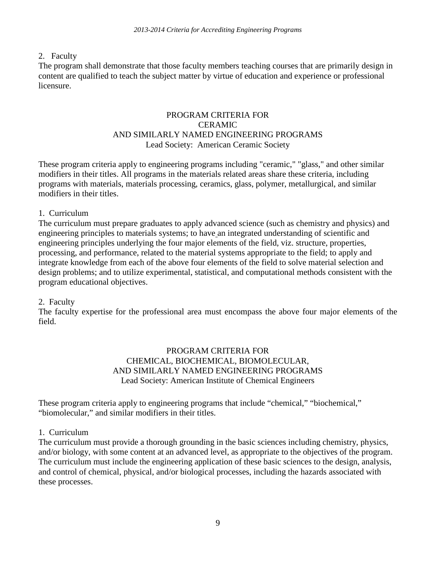# 2. Faculty

The program shall demonstrate that those faculty members teaching courses that are primarily design in content are qualified to teach the subject matter by virtue of education and experience or professional licensure.

#### PROGRAM CRITERIA FOR CERAMIC AND SIMILARLY NAMED ENGINEERING PROGRAMS Lead Society: American Ceramic Society

These program criteria apply to engineering programs including "ceramic," "glass," and other similar modifiers in their titles. All programs in the materials related areas share these criteria, including programs with materials, materials processing, ceramics, glass, polymer, metallurgical, and similar modifiers in their titles.

# 1. Curriculum

The curriculum must prepare graduates to apply advanced science (such as chemistry and physics) and engineering principles to materials systems; to have an integrated understanding of scientific and engineering principles underlying the four major elements of the field, viz. structure, properties, processing, and performance, related to the material systems appropriate to the field; to apply and integrate knowledge from each of the above four elements of the field to solve material selection and design problems; and to utilize experimental, statistical, and computational methods consistent with the program educational objectives.

## 2. Faculty

The faculty expertise for the professional area must encompass the above four major elements of the field.

## PROGRAM CRITERIA FOR CHEMICAL, BIOCHEMICAL, BIOMOLECULAR, AND SIMILARLY NAMED ENGINEERING PROGRAMS Lead Society: American Institute of Chemical Engineers

These program criteria apply to engineering programs that include "chemical," "biochemical," "biomolecular," and similar modifiers in their titles.

## 1. Curriculum

The curriculum must provide a thorough grounding in the basic sciences including chemistry, physics, and/or biology, with some content at an advanced level, as appropriate to the objectives of the program. The curriculum must include the engineering application of these basic sciences to the design, analysis, and control of chemical, physical, and/or biological processes, including the hazards associated with these processes.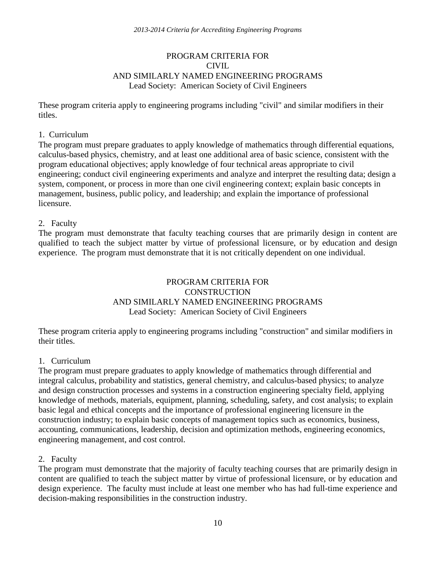#### PROGRAM CRITERIA FOR CIVIL AND SIMILARLY NAMED ENGINEERING PROGRAMS Lead Society: American Society of Civil Engineers

These program criteria apply to engineering programs including "civil" and similar modifiers in their titles.

#### 1. Curriculum

The program must prepare graduates to apply knowledge of mathematics through differential equations, calculus-based physics, chemistry, and at least one additional area of basic science, consistent with the program educational objectives; apply knowledge of four technical areas appropriate to civil engineering; conduct civil engineering experiments and analyze and interpret the resulting data; design a system, component, or process in more than one civil engineering context; explain basic concepts in management, business, public policy, and leadership; and explain the importance of professional licensure.

#### 2. Faculty

The program must demonstrate that faculty teaching courses that are primarily design in content are qualified to teach the subject matter by virtue of professional licensure, or by education and design experience. The program must demonstrate that it is not critically dependent on one individual.

## PROGRAM CRITERIA FOR **CONSTRUCTION** AND SIMILARLY NAMED ENGINEERING PROGRAMS Lead Society: American Society of Civil Engineers

These program criteria apply to engineering programs including "construction" and similar modifiers in their titles.

#### 1. Curriculum

The program must prepare graduates to apply knowledge of mathematics through differential and integral calculus, probability and statistics, general chemistry, and calculus-based physics; to analyze and design construction processes and systems in a construction engineering specialty field, applying knowledge of methods, materials, equipment, planning, scheduling, safety, and cost analysis; to explain basic legal and ethical concepts and the importance of professional engineering licensure in the construction industry; to explain basic concepts of management topics such as economics, business, accounting, communications, leadership, decision and optimization methods, engineering economics, engineering management, and cost control.

#### 2. Faculty

The program must demonstrate that the majority of faculty teaching courses that are primarily design in content are qualified to teach the subject matter by virtue of professional licensure, or by education and design experience. The faculty must include at least one member who has had full-time experience and decision-making responsibilities in the construction industry.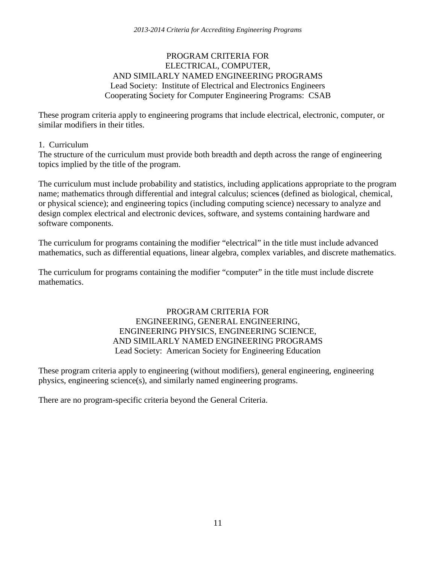#### PROGRAM CRITERIA FOR ELECTRICAL, COMPUTER, AND SIMILARLY NAMED ENGINEERING PROGRAMS Lead Society: Institute of Electrical and Electronics Engineers Cooperating Society for Computer Engineering Programs: CSAB

These program criteria apply to engineering programs that include electrical, electronic, computer, or similar modifiers in their titles.

## 1. Curriculum

The structure of the curriculum must provide both breadth and depth across the range of engineering topics implied by the title of the program.

The curriculum must include probability and statistics, including applications appropriate to the program name; mathematics through differential and integral calculus; sciences (defined as biological, chemical, or physical science); and engineering topics (including computing science) necessary to analyze and design complex electrical and electronic devices, software, and systems containing hardware and software components.

The curriculum for programs containing the modifier "electrical" in the title must include advanced mathematics, such as differential equations, linear algebra, complex variables, and discrete mathematics.

The curriculum for programs containing the modifier "computer" in the title must include discrete mathematics.

#### PROGRAM CRITERIA FOR ENGINEERING, GENERAL ENGINEERING, ENGINEERING PHYSICS, ENGINEERING SCIENCE, AND SIMILARLY NAMED ENGINEERING PROGRAMS Lead Society: American Society for Engineering Education

These program criteria apply to engineering (without modifiers), general engineering, engineering physics, engineering science(s), and similarly named engineering programs.

There are no program-specific criteria beyond the General Criteria.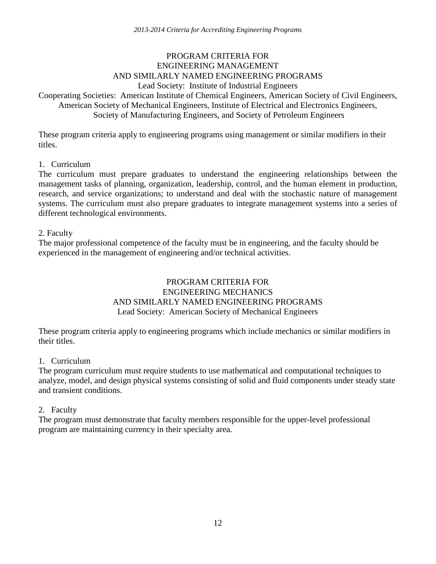# PROGRAM CRITERIA FOR ENGINEERING MANAGEMENT AND SIMILARLY NAMED ENGINEERING PROGRAMS

Lead Society: Institute of Industrial Engineers Cooperating Societies: American Institute of Chemical Engineers, American Society of Civil Engineers, American Society of Mechanical Engineers, Institute of Electrical and Electronics Engineers, Society of Manufacturing Engineers, and Society of Petroleum Engineers

These program criteria apply to engineering programs using management or similar modifiers in their titles.

## 1. Curriculum

The curriculum must prepare graduates to understand the engineering relationships between the management tasks of planning, organization, leadership, control, and the human element in production, research, and service organizations; to understand and deal with the stochastic nature of management systems. The curriculum must also prepare graduates to integrate management systems into a series of different technological environments.

#### 2. Faculty

The major professional competence of the faculty must be in engineering, and the faculty should be experienced in the management of engineering and/or technical activities.

## PROGRAM CRITERIA FOR ENGINEERING MECHANICS AND SIMILARLY NAMED ENGINEERING PROGRAMS Lead Society: American Society of Mechanical Engineers

These program criteria apply to engineering programs which include mechanics or similar modifiers in their titles.

## 1. Curriculum

The program curriculum must require students to use mathematical and computational techniques to analyze, model, and design physical systems consisting of solid and fluid components under steady state and transient conditions.

#### 2. Faculty

The program must demonstrate that faculty members responsible for the upper-level professional program are maintaining currency in their specialty area.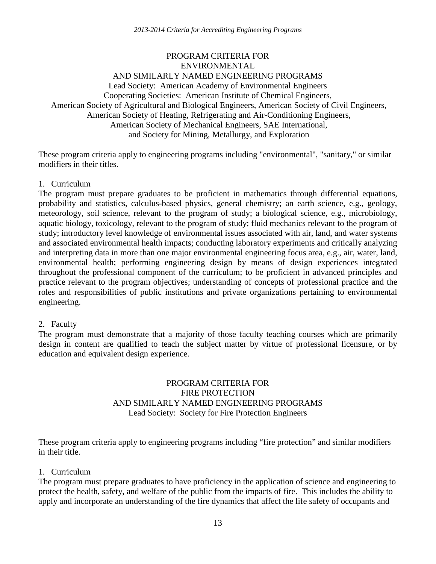# PROGRAM CRITERIA FOR ENVIRONMENTAL AND SIMILARLY NAMED ENGINEERING PROGRAMS Lead Society: American Academy of Environmental Engineers Cooperating Societies: American Institute of Chemical Engineers, American Society of Agricultural and Biological Engineers, American Society of Civil Engineers, American Society of Heating, Refrigerating and Air-Conditioning Engineers, American Society of Mechanical Engineers, SAE International, and Society for Mining, Metallurgy, and Exploration

These program criteria apply to engineering programs including "environmental", "sanitary," or similar modifiers in their titles.

#### 1. Curriculum

The program must prepare graduates to be proficient in mathematics through differential equations, probability and statistics, calculus-based physics, general chemistry; an earth science, e.g., geology, meteorology, soil science, relevant to the program of study; a biological science, e.g., microbiology, aquatic biology, toxicology, relevant to the program of study; fluid mechanics relevant to the program of study; introductory level knowledge of environmental issues associated with air, land, and water systems and associated environmental health impacts; conducting laboratory experiments and critically analyzing and interpreting data in more than one major environmental engineering focus area, e.g., air, water, land, environmental health; performing engineering design by means of design experiences integrated throughout the professional component of the curriculum; to be proficient in advanced principles and practice relevant to the program objectives; understanding of concepts of professional practice and the roles and responsibilities of public institutions and private organizations pertaining to environmental engineering.

#### 2. Faculty

The program must demonstrate that a majority of those faculty teaching courses which are primarily design in content are qualified to teach the subject matter by virtue of professional licensure, or by education and equivalent design experience.

#### PROGRAM CRITERIA FOR FIRE PROTECTION AND SIMILARLY NAMED ENGINEERING PROGRAMS Lead Society: Society for Fire Protection Engineers

These program criteria apply to engineering programs including "fire protection" and similar modifiers in their title.

#### 1. Curriculum

The program must prepare graduates to have proficiency in the application of science and engineering to protect the health, safety, and welfare of the public from the impacts of fire. This includes the ability to apply and incorporate an understanding of the fire dynamics that affect the life safety of occupants and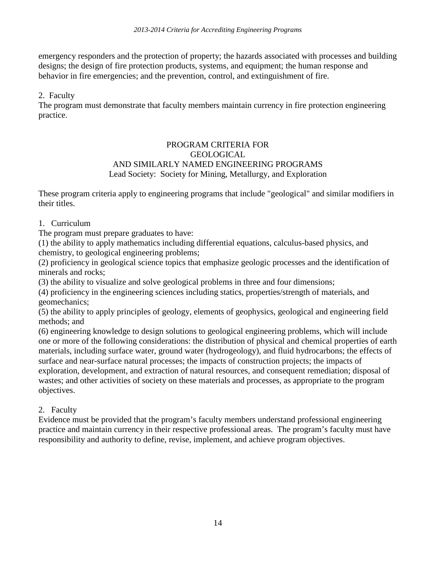emergency responders and the protection of property; the hazards associated with processes and building designs; the design of fire protection products, systems, and equipment; the human response and behavior in fire emergencies; and the prevention, control, and extinguishment of fire.

# 2. Faculty

The program must demonstrate that faculty members maintain currency in fire protection engineering practice.

#### PROGRAM CRITERIA FOR GEOLOGICAL AND SIMILARLY NAMED ENGINEERING PROGRAMS Lead Society: Society for Mining, Metallurgy, and Exploration

These program criteria apply to engineering programs that include "geological" and similar modifiers in their titles.

# 1. Curriculum

The program must prepare graduates to have:

(1) the ability to apply mathematics including differential equations, calculus-based physics, and chemistry, to geological engineering problems;

(2) proficiency in geological science topics that emphasize geologic processes and the identification of minerals and rocks;

(3) the ability to visualize and solve geological problems in three and four dimensions;

(4) proficiency in the engineering sciences including statics, properties/strength of materials, and geomechanics;

(5) the ability to apply principles of geology, elements of geophysics, geological and engineering field methods; and

(6) engineering knowledge to design solutions to geological engineering problems, which will include one or more of the following considerations: the distribution of physical and chemical properties of earth materials, including surface water, ground water (hydrogeology), and fluid hydrocarbons; the effects of surface and near-surface natural processes; the impacts of construction projects; the impacts of exploration, development, and extraction of natural resources, and consequent remediation; disposal of wastes; and other activities of society on these materials and processes, as appropriate to the program objectives.

## 2. Faculty

Evidence must be provided that the program's faculty members understand professional engineering practice and maintain currency in their respective professional areas. The program's faculty must have responsibility and authority to define, revise, implement, and achieve program objectives.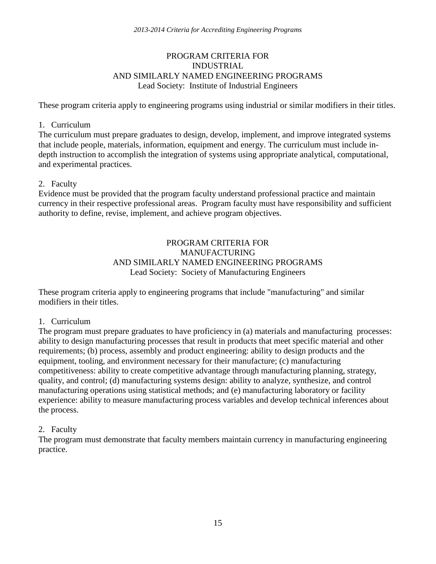#### PROGRAM CRITERIA FOR INDUSTRIAL AND SIMILARLY NAMED ENGINEERING PROGRAMS Lead Society: Institute of Industrial Engineers

These program criteria apply to engineering programs using industrial or similar modifiers in their titles.

#### 1. Curriculum

The curriculum must prepare graduates to design, develop, implement, and improve integrated systems that include people, materials, information, equipment and energy. The curriculum must include indepth instruction to accomplish the integration of systems using appropriate analytical, computational, and experimental practices.

#### 2. Faculty

Evidence must be provided that the program faculty understand professional practice and maintain currency in their respective professional areas. Program faculty must have responsibility and sufficient authority to define, revise, implement, and achieve program objectives.

## PROGRAM CRITERIA FOR **MANUFACTURING** AND SIMILARLY NAMED ENGINEERING PROGRAMS Lead Society: Society of Manufacturing Engineers

These program criteria apply to engineering programs that include "manufacturing" and similar modifiers in their titles.

## 1. Curriculum

The program must prepare graduates to have proficiency in (a) materials and manufacturing processes: ability to design manufacturing processes that result in products that meet specific material and other requirements; (b) process, assembly and product engineering: ability to design products and the equipment, tooling, and environment necessary for their manufacture; (c) manufacturing competitiveness: ability to create competitive advantage through manufacturing planning, strategy, quality, and control; (d) manufacturing systems design: ability to analyze, synthesize, and control manufacturing operations using statistical methods; and (e) manufacturing laboratory or facility experience: ability to measure manufacturing process variables and develop technical inferences about the process.

#### 2. Faculty

The program must demonstrate that faculty members maintain currency in manufacturing engineering practice.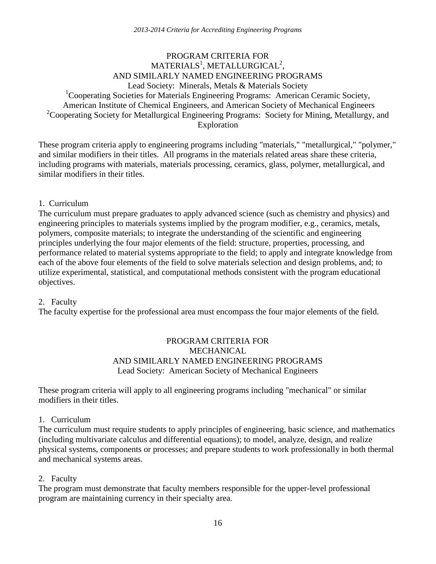#### PROGRAM CRITERIA FOR  $MATERIALS<sup>1</sup>$ ,  $METALLURGICAL<sup>2</sup>$ , AND SIMILARLY NAMED ENGINEERING PROGRAMS Lead Society: Minerals, Metals & Materials Society <sup>1</sup>Cooperating Societies for Materials Engineering Programs: American Ceramic Society, American Institute of Chemical Engineers, and American Society of Mechanical Engineers <sup>2</sup>Cooperating Society for Metallurgical Engineering Programs: Society for Mining, Metallurgy, and Exploration

These program criteria apply to engineering programs including "materials," "metallurgical," "polymer," and similar modifiers in their titles. All programs in the materials related areas share these criteria, including programs with materials, materials processing, ceramics, glass, polymer, metallurgical, and similar modifiers in their titles.

#### 1. Curriculum

The curriculum must prepare graduates to apply advanced science (such as chemistry and physics) and engineering principles to materials systems implied by the program modifier, e.g., ceramics, metals, polymers, composite materials; to integrate the understanding of the scientific and engineering principles underlying the four major elements of the field: structure, properties, processing, and performance related to material systems appropriate to the field; to apply and integrate knowledge from each of the above four elements of the field to solve materials selection and design problems, and; to utilize experimental, statistical, and computational methods consistent with the program educational objectives.

#### 2. Faculty

The faculty expertise for the professional area must encompass the four major elements of the field.

#### PROGRAM CRITERIA FOR MECHANICAL AND SIMILARLY NAMED ENGINEERING PROGRAMS Lead Society: American Society of Mechanical Engineers

These program criteria will apply to all engineering programs including "mechanical" or similar modifiers in their titles.

#### 1. Curriculum

The curriculum must require students to apply principles of engineering, basic science, and mathematics (including multivariate calculus and differential equations); to model, analyze, design, and realize physical systems, components or processes; and prepare students to work professionally in both thermal and mechanical systems areas.

#### 2. Faculty

The program must demonstrate that faculty members responsible for the upper-level professional program are maintaining currency in their specialty area.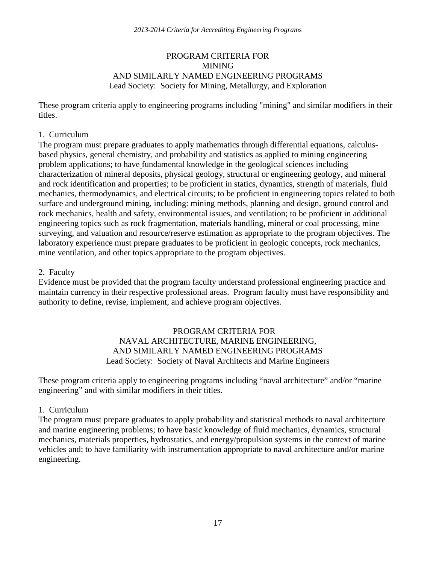#### PROGRAM CRITERIA FOR MINING AND SIMILARLY NAMED ENGINEERING PROGRAMS Lead Society: Society for Mining, Metallurgy, and Exploration

These program criteria apply to engineering programs including "mining" and similar modifiers in their titles.

#### 1. Curriculum

The program must prepare graduates to apply mathematics through differential equations, calculusbased physics, general chemistry, and probability and statistics as applied to mining engineering problem applications; to have fundamental knowledge in the geological sciences including characterization of mineral deposits, physical geology, structural or engineering geology, and mineral and rock identification and properties; to be proficient in statics, dynamics, strength of materials, fluid mechanics, thermodynamics, and electrical circuits; to be proficient in engineering topics related to both surface and underground mining, including: mining methods, planning and design, ground control and rock mechanics, health and safety, environmental issues, and ventilation; to be proficient in additional engineering topics such as rock fragmentation, materials handling, mineral or coal processing, mine surveying, and valuation and resource/reserve estimation as appropriate to the program objectives. The laboratory experience must prepare graduates to be proficient in geologic concepts, rock mechanics, mine ventilation, and other topics appropriate to the program objectives.

#### 2. Faculty

Evidence must be provided that the program faculty understand professional engineering practice and maintain currency in their respective professional areas. Program faculty must have responsibility and authority to define, revise, implement, and achieve program objectives.

#### PROGRAM CRITERIA FOR NAVAL ARCHITECTURE, MARINE ENGINEERING, AND SIMILARLY NAMED ENGINEERING PROGRAMS Lead Society: Society of Naval Architects and Marine Engineers

These program criteria apply to engineering programs including "naval architecture" and/or "marine engineering" and with similar modifiers in their titles.

## 1. Curriculum

The program must prepare graduates to apply probability and statistical methods to naval architecture and marine engineering problems; to have basic knowledge of fluid mechanics, dynamics, structural mechanics, materials properties, hydrostatics, and energy/propulsion systems in the context of marine vehicles and; to have familiarity with instrumentation appropriate to naval architecture and/or marine engineering.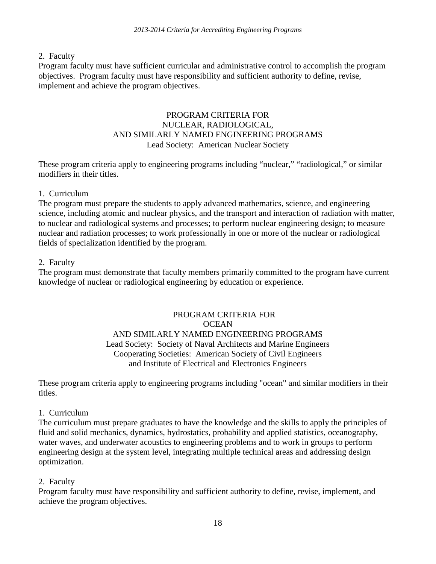# 2. Faculty

Program faculty must have sufficient curricular and administrative control to accomplish the program objectives. Program faculty must have responsibility and sufficient authority to define, revise, implement and achieve the program objectives.

#### PROGRAM CRITERIA FOR NUCLEAR, RADIOLOGICAL, AND SIMILARLY NAMED ENGINEERING PROGRAMS Lead Society: American Nuclear Society

These program criteria apply to engineering programs including "nuclear," "radiological," or similar modifiers in their titles.

## 1. Curriculum

The program must prepare the students to apply advanced mathematics, science, and engineering science, including atomic and nuclear physics, and the transport and interaction of radiation with matter, to nuclear and radiological systems and processes; to perform nuclear engineering design; to measure nuclear and radiation processes; to work professionally in one or more of the nuclear or radiological fields of specialization identified by the program.

#### 2. Faculty

The program must demonstrate that faculty members primarily committed to the program have current knowledge of nuclear or radiological engineering by education or experience.

## PROGRAM CRITERIA FOR **OCEAN** AND SIMILARLY NAMED ENGINEERING PROGRAMS Lead Society: Society of Naval Architects and Marine Engineers Cooperating Societies: American Society of Civil Engineers and Institute of Electrical and Electronics Engineers

These program criteria apply to engineering programs including "ocean" and similar modifiers in their titles.

## 1. Curriculum

The curriculum must prepare graduates to have the knowledge and the skills to apply the principles of fluid and solid mechanics, dynamics, hydrostatics, probability and applied statistics, oceanography, water waves, and underwater acoustics to engineering problems and to work in groups to perform engineering design at the system level, integrating multiple technical areas and addressing design optimization.

## 2. Faculty

Program faculty must have responsibility and sufficient authority to define, revise, implement, and achieve the program objectives.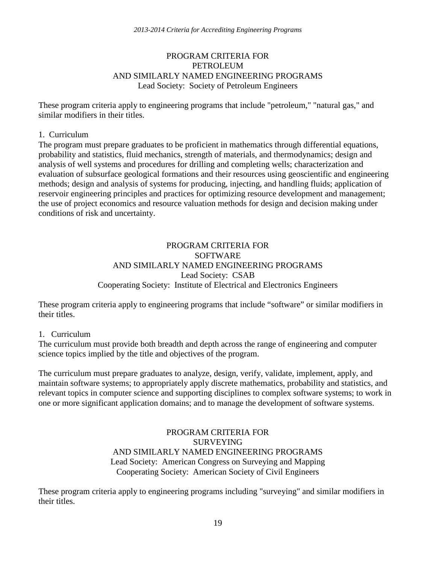#### PROGRAM CRITERIA FOR **PETROLEUM** AND SIMILARLY NAMED ENGINEERING PROGRAMS Lead Society: Society of Petroleum Engineers

These program criteria apply to engineering programs that include "petroleum," "natural gas," and similar modifiers in their titles.

#### 1. Curriculum

The program must prepare graduates to be proficient in mathematics through differential equations, probability and statistics, fluid mechanics, strength of materials, and thermodynamics; design and analysis of well systems and procedures for drilling and completing wells; characterization and evaluation of subsurface geological formations and their resources using geoscientific and engineering methods; design and analysis of systems for producing, injecting, and handling fluids; application of reservoir engineering principles and practices for optimizing resource development and management; the use of project economics and resource valuation methods for design and decision making under conditions of risk and uncertainty.

#### PROGRAM CRITERIA FOR SOFTWARE AND SIMILARLY NAMED ENGINEERING PROGRAMS Lead Society: CSAB Cooperating Society: Institute of Electrical and Electronics Engineers

These program criteria apply to engineering programs that include "software" or similar modifiers in their titles.

## 1. Curriculum

The curriculum must provide both breadth and depth across the range of engineering and computer science topics implied by the title and objectives of the program.

The curriculum must prepare graduates to analyze, design, verify, validate, implement, apply, and maintain software systems; to appropriately apply discrete mathematics, probability and statistics, and relevant topics in computer science and supporting disciplines to complex software systems; to work in one or more significant application domains; and to manage the development of software systems.

> PROGRAM CRITERIA FOR **SURVEYING** AND SIMILARLY NAMED ENGINEERING PROGRAMS Lead Society: American Congress on Surveying and Mapping Cooperating Society: American Society of Civil Engineers

These program criteria apply to engineering programs including "surveying" and similar modifiers in their titles.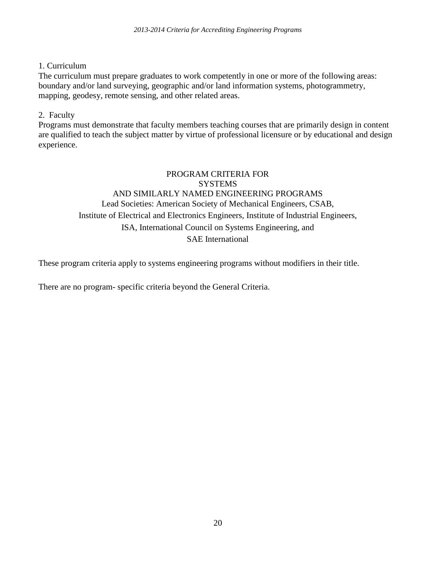# 1. Curriculum

The curriculum must prepare graduates to work competently in one or more of the following areas: boundary and/or land surveying, geographic and/or land information systems, photogrammetry, mapping, geodesy, remote sensing, and other related areas.

## 2. Faculty

Programs must demonstrate that faculty members teaching courses that are primarily design in content are qualified to teach the subject matter by virtue of professional licensure or by educational and design experience.

# PROGRAM CRITERIA FOR **SYSTEMS** AND SIMILARLY NAMED ENGINEERING PROGRAMS Lead Societies: American Society of Mechanical Engineers, CSAB, Institute of Electrical and Electronics Engineers, Institute of Industrial Engineers, ISA, International Council on Systems Engineering, and SAE International

These program criteria apply to systems engineering programs without modifiers in their title.

There are no program- specific criteria beyond the General Criteria.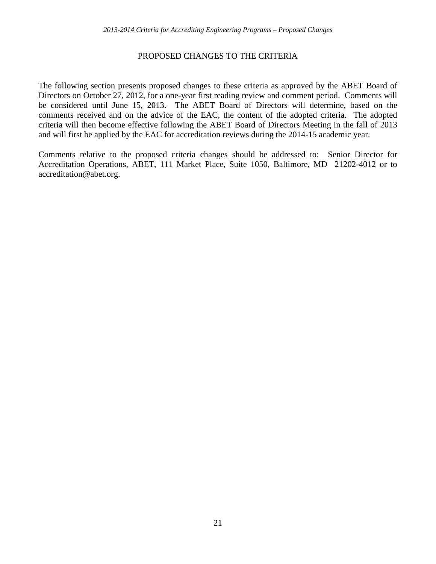#### PROPOSED CHANGES TO THE CRITERIA

The following section presents proposed changes to these criteria as approved by the ABET Board of Directors on October 27, 2012, for a one-year first reading review and comment period. Comments will be considered until June 15, 2013. The ABET Board of Directors will determine, based on the comments received and on the advice of the EAC, the content of the adopted criteria. The adopted criteria will then become effective following the ABET Board of Directors Meeting in the fall of 2013 and will first be applied by the EAC for accreditation reviews during the 2014-15 academic year.

Comments relative to the proposed criteria changes should be addressed to: Senior Director for Accreditation Operations, ABET, 111 Market Place, Suite 1050, Baltimore, MD 21202-4012 or to accreditation@abet.org.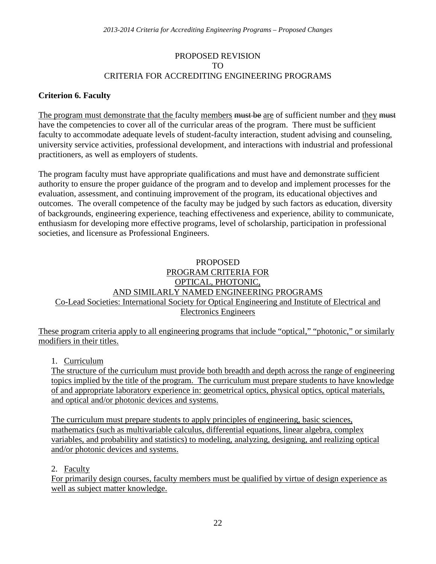#### PROPOSED REVISION TO CRITERIA FOR ACCREDITING ENGINEERING PROGRAMS

# **Criterion 6. Faculty**

The program must demonstrate that the faculty members must be are of sufficient number and they must have the competencies to cover all of the curricular areas of the program. There must be sufficient faculty to accommodate adequate levels of student-faculty interaction, student advising and counseling, university service activities, professional development, and interactions with industrial and professional practitioners, as well as employers of students.

The program faculty must have appropriate qualifications and must have and demonstrate sufficient authority to ensure the proper guidance of the program and to develop and implement processes for the evaluation, assessment, and continuing improvement of the program, its educational objectives and outcomes. The overall competence of the faculty may be judged by such factors as education, diversity of backgrounds, engineering experience, teaching effectiveness and experience, ability to communicate, enthusiasm for developing more effective programs, level of scholarship, participation in professional societies, and licensure as Professional Engineers.

## PROPOSED PROGRAM CRITERIA FOR OPTICAL, PHOTONIC, AND SIMILARLY NAMED ENGINEERING PROGRAMS Co-Lead Societies: International Society for Optical Engineering and Institute of Electrical and Electronics Engineers

These program criteria apply to all engineering programs that include "optical," "photonic," or similarly modifiers in their titles.

## 1. Curriculum

The structure of the curriculum must provide both breadth and depth across the range of engineering topics implied by the title of the program. The curriculum must prepare students to have knowledge of and appropriate laboratory experience in: geometrical optics, physical optics, optical materials, and optical and/or photonic devices and systems.

The curriculum must prepare students to apply principles of engineering, basic sciences, mathematics (such as multivariable calculus, differential equations, linear algebra, complex variables, and probability and statistics) to modeling, analyzing, designing, and realizing optical and/or photonic devices and systems.

## 2. Faculty

For primarily design courses, faculty members must be qualified by virtue of design experience as well as subject matter knowledge.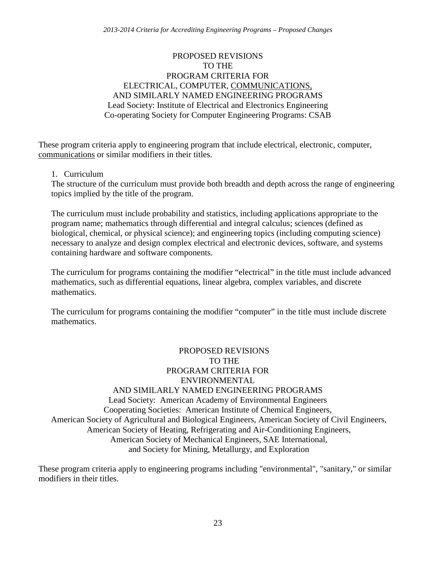# PROPOSED REVISIONS TO THE PROGRAM CRITERIA FOR ELECTRICAL, COMPUTER, COMMUNICATIONS, AND SIMILARLY NAMED ENGINEERING PROGRAMS Lead Society: Institute of Electrical and Electronics Engineering Co-operating Society for Computer Engineering Programs: CSAB

These program criteria apply to engineering program that include electrical, electronic, computer, communications or similar modifiers in their titles.

## 1. Curriculum

The structure of the curriculum must provide both breadth and depth across the range of engineering topics implied by the title of the program.

The curriculum must include probability and statistics, including applications appropriate to the program name; mathematics through differential and integral calculus; sciences (defined as biological, chemical, or physical science); and engineering topics (including computing science) necessary to analyze and design complex electrical and electronic devices, software, and systems containing hardware and software components.

The curriculum for programs containing the modifier "electrical" in the title must include advanced mathematics, such as differential equations, linear algebra, complex variables, and discrete mathematics.

The curriculum for programs containing the modifier "computer" in the title must include discrete mathematics.

PROPOSED REVISIONS TO THE PROGRAM CRITERIA FOR ENVIRONMENTAL AND SIMILARLY NAMED ENGINEERING PROGRAMS Lead Society: American Academy of Environmental Engineers Cooperating Societies: American Institute of Chemical Engineers, American Society of Agricultural and Biological Engineers, American Society of Civil Engineers, American Society of Heating, Refrigerating and Air-Conditioning Engineers, American Society of Mechanical Engineers, SAE International, and Society for Mining, Metallurgy, and Exploration

These program criteria apply to engineering programs including "environmental", "sanitary," or similar modifiers in their titles.